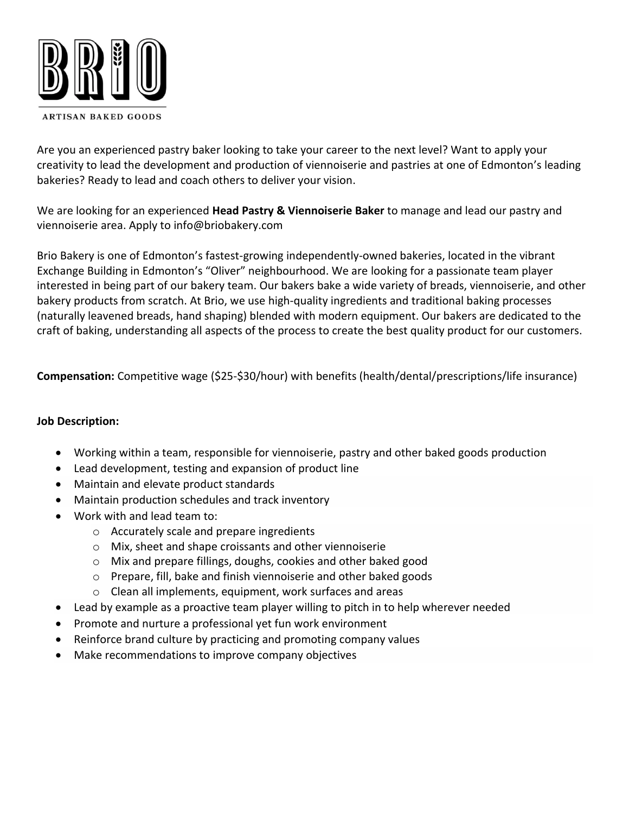

Are you an experienced pastry baker looking to take your career to the next level? Want to apply your creativity to lead the development and production of viennoiserie and pastries at one of Edmonton's leading bakeries? Ready to lead and coach others to deliver your vision.

We are looking for an experienced **Head Pastry & Viennoiserie Baker** to manage and lead our pastry and viennoiserie area. Apply to info@briobakery.com

Brio Bakery is one of Edmonton's fastest-growing independently-owned bakeries, located in the vibrant Exchange Building in Edmonton's "Oliver" neighbourhood. We are looking for a passionate team player interested in being part of our bakery team. Our bakers bake a wide variety of breads, viennoiserie, and other bakery products from scratch. At Brio, we use high-quality ingredients and traditional baking processes (naturally leavened breads, hand shaping) blended with modern equipment. Our bakers are dedicated to the craft of baking, understanding all aspects of the process to create the best quality product for our customers.

**Compensation:** Competitive wage (\$25-\$30/hour) with benefits (health/dental/prescriptions/life insurance)

## **Job Description:**

- Working within a team, responsible for viennoiserie, pastry and other baked goods production
- Lead development, testing and expansion of product line
- Maintain and elevate product standards
- Maintain production schedules and track inventory
- Work with and lead team to:
	- o Accurately scale and prepare ingredients
	- o Mix, sheet and shape croissants and other viennoiserie
	- o Mix and prepare fillings, doughs, cookies and other baked good
	- o Prepare, fill, bake and finish viennoiserie and other baked goods
	- o Clean all implements, equipment, work surfaces and areas
- Lead by example as a proactive team player willing to pitch in to help wherever needed
- Promote and nurture a professional yet fun work environment
- Reinforce brand culture by practicing and promoting company values
- Make recommendations to improve company objectives